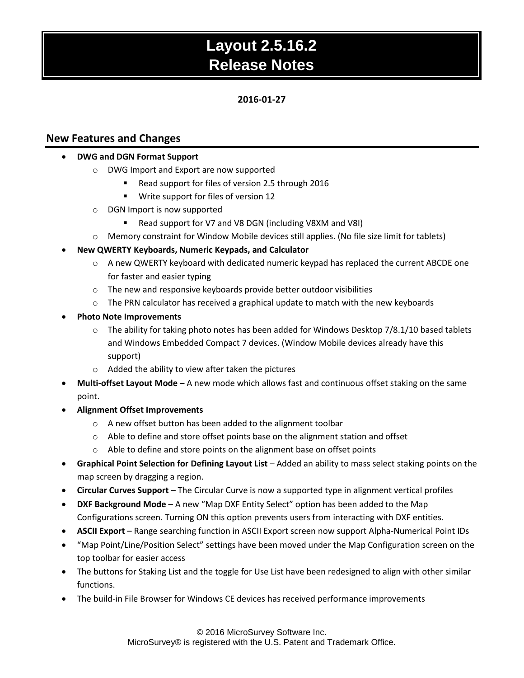### **2016-01-27**

### **New Features and Changes**

#### **DWG and DGN Format Support**

- o DWG Import and Export are now supported
	- Read support for files of version 2.5 through 2016
	- **Write support for files of version 12**
- o DGN Import is now supported
	- Read support for V7 and V8 DGN (including V8XM and V8I)
- o Memory constraint for Window Mobile devices still applies. (No file size limit for tablets)

### **New QWERTY Keyboards, Numeric Keypads, and Calculator**

- o A new QWERTY keyboard with dedicated numeric keypad has replaced the current ABCDE one for faster and easier typing
- o The new and responsive keyboards provide better outdoor visibilities
- $\circ$  The PRN calculator has received a graphical update to match with the new keyboards
- **Photo Note Improvements**
	- $\circ$  The ability for taking photo notes has been added for Windows Desktop 7/8.1/10 based tablets and Windows Embedded Compact 7 devices. (Window Mobile devices already have this support)
	- o Added the ability to view after taken the pictures
- **Multi-offset Layout Mode –** A new mode which allows fast and continuous offset staking on the same point.
- **Alignment Offset Improvements**
	- o A new offset button has been added to the alignment toolbar
	- o Able to define and store offset points base on the alignment station and offset
	- o Able to define and store points on the alignment base on offset points
- **Graphical Point Selection for Defining Layout List** Added an ability to mass select staking points on the map screen by dragging a region.
- **Circular Curves Support**  The Circular Curve is now a supported type in alignment vertical profiles
- **DXF Background Mode** A new "Map DXF Entity Select" option has been added to the Map Configurations screen. Turning ON this option prevents users from interacting with DXF entities.
- **ASCII Export**  Range searching function in ASCII Export screen now support Alpha-Numerical Point IDs
- "Map Point/Line/Position Select" settings have been moved under the Map Configuration screen on the top toolbar for easier access
- The buttons for Staking List and the toggle for Use List have been redesigned to align with other similar functions.
- The build-in File Browser for Windows CE devices has received performance improvements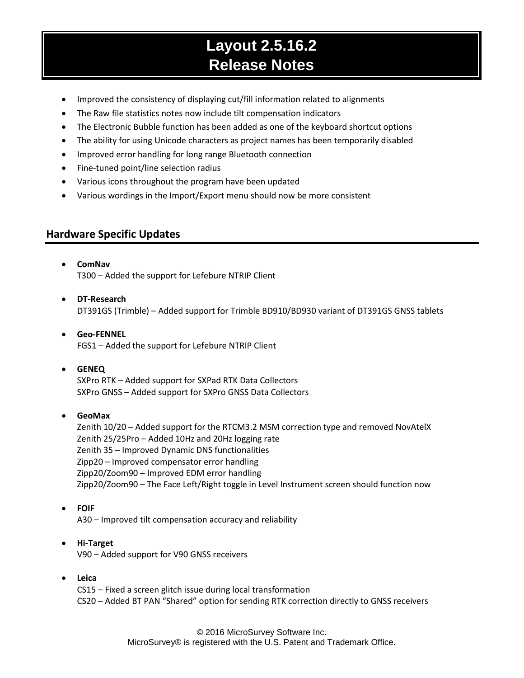- Improved the consistency of displaying cut/fill information related to alignments
- The Raw file statistics notes now include tilt compensation indicators
- The Electronic Bubble function has been added as one of the keyboard shortcut options
- The ability for using Unicode characters as project names has been temporarily disabled
- Improved error handling for long range Bluetooth connection
- Fine-tuned point/line selection radius
- Various icons throughout the program have been updated
- Various wordings in the Import/Export menu should now be more consistent

## **Hardware Specific Updates**

- **ComNav** T300 – Added the support for Lefebure NTRIP Client
- **DT-Research** DT391GS (Trimble) – Added support for Trimble BD910/BD930 variant of DT391GS GNSS tablets
- **Geo-FENNEL** FGS1 – Added the support for Lefebure NTRIP Client
- **GENEQ**

SXPro RTK – Added support for SXPad RTK Data Collectors SXPro GNSS – Added support for SXPro GNSS Data Collectors

**GeoMax**

Zenith 10/20 – Added support for the RTCM3.2 MSM correction type and removed NovAtelX Zenith 25/25Pro – Added 10Hz and 20Hz logging rate Zenith 35 – Improved Dynamic DNS functionalities Zipp20 – Improved compensator error handling Zipp20/Zoom90 – Improved EDM error handling Zipp20/Zoom90 – The Face Left/Right toggle in Level Instrument screen should function now

**FOIF**

A30 – Improved tilt compensation accuracy and reliability

- **Hi-Target** V90 – Added support for V90 GNSS receivers
- **Leica**

CS15 – Fixed a screen glitch issue during local transformation CS20 – Added BT PAN "Shared" option for sending RTK correction directly to GNSS receivers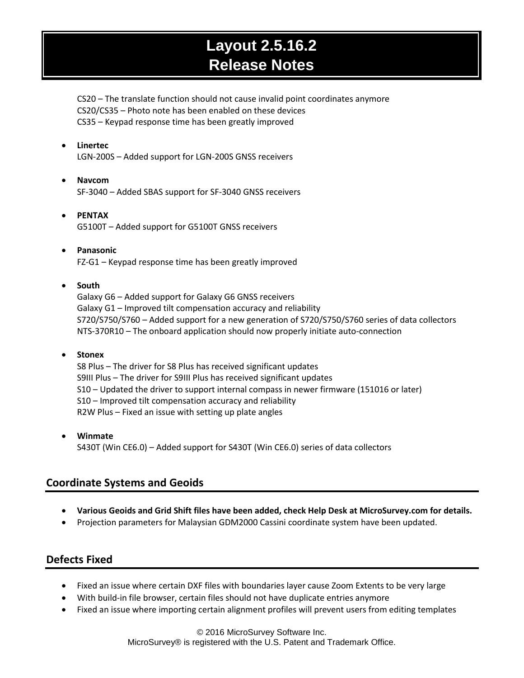CS20 – The translate function should not cause invalid point coordinates anymore CS20/CS35 – Photo note has been enabled on these devices CS35 – Keypad response time has been greatly improved

**Linertec**

LGN-200S – Added support for LGN-200S GNSS receivers

- **Navcom** SF-3040 – Added SBAS support for SF-3040 GNSS receivers
- **PENTAX** G5100T – Added support for G5100T GNSS receivers
- **Panasonic** FZ-G1 – Keypad response time has been greatly improved

#### **South**

Galaxy G6 – Added support for Galaxy G6 GNSS receivers Galaxy G1 – Improved tilt compensation accuracy and reliability S720/S750/S760 – Added support for a new generation of S720/S750/S760 series of data collectors NTS-370R10 – The onboard application should now properly initiate auto-connection

#### **Stonex**

S8 Plus – The driver for S8 Plus has received significant updates S9III Plus – The driver for S9III Plus has received significant updates S10 – Updated the driver to support internal compass in newer firmware (151016 or later) S10 – Improved tilt compensation accuracy and reliability R2W Plus – Fixed an issue with setting up plate angles

 **Winmate** S430T (Win CE6.0) – Added support for S430T (Win CE6.0) series of data collectors

## **Coordinate Systems and Geoids**

- **Various Geoids and Grid Shift files have been added, check Help Desk at MicroSurvey.com for details.**
- Projection parameters for Malaysian GDM2000 Cassini coordinate system have been updated.

## **Defects Fixed**

- Fixed an issue where certain DXF files with boundaries layer cause Zoom Extents to be very large
- With build-in file browser, certain files should not have duplicate entries anymore
- Fixed an issue where importing certain alignment profiles will prevent users from editing templates